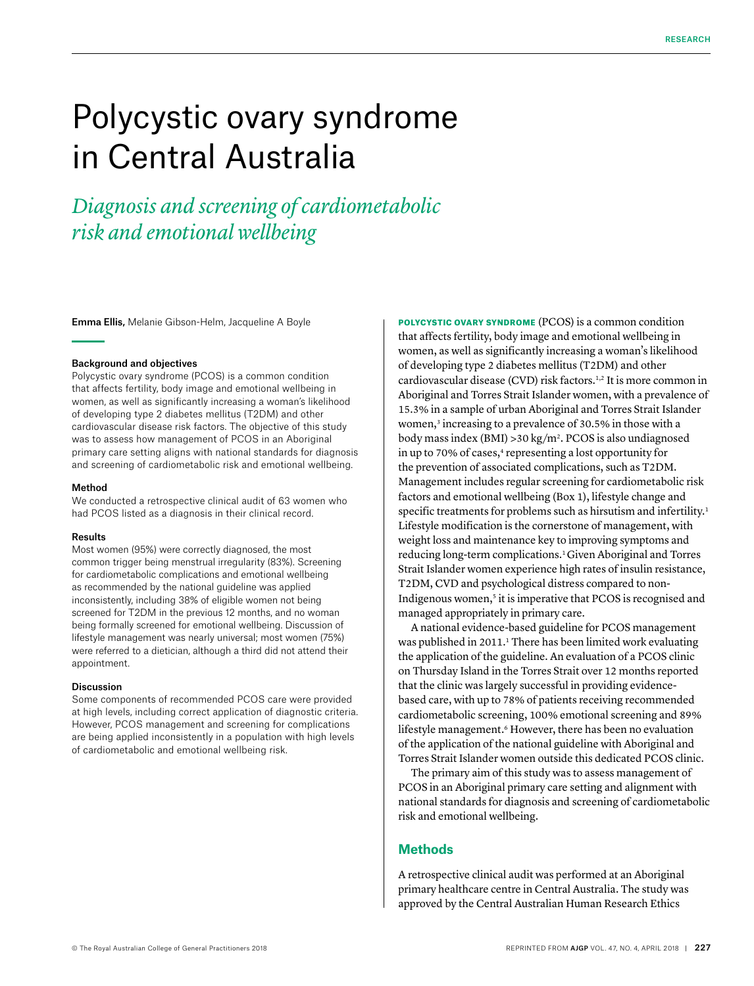# Polycystic ovary syndrome in Central Australia

*Diagnosis and screening of cardiometabolic risk and emotional wellbeing*

Emma Ellis, Melanie Gibson-Helm, Jacqueline A Boyle

#### Background and objectives

Polycystic ovary syndrome (PCOS) is a common condition that affects fertility, body image and emotional wellbeing in women, as well as significantly increasing a woman's likelihood of developing type 2 diabetes mellitus (T2DM) and other cardiovascular disease risk factors. The objective of this study was to assess how management of PCOS in an Aboriginal primary care setting aligns with national standards for diagnosis and screening of cardiometabolic risk and emotional wellbeing.

#### Method

We conducted a retrospective clinical audit of 63 women who had PCOS listed as a diagnosis in their clinical record.

#### Results

Most women (95%) were correctly diagnosed, the most common trigger being menstrual irregularity (83%). Screening for cardiometabolic complications and emotional wellbeing as recommended by the national guideline was applied inconsistently, including 38% of eligible women not being screened for T2DM in the previous 12 months, and no woman being formally screened for emotional wellbeing. Discussion of lifestyle management was nearly universal; most women (75%) were referred to a dietician, although a third did not attend their appointment.

#### Discussion

Some components of recommended PCOS care were provided at high levels, including correct application of diagnostic criteria. However, PCOS management and screening for complications are being applied inconsistently in a population with high levels of cardiometabolic and emotional wellbeing risk.

POLYCYSTIC OVARY SYNDROME (PCOS) is a common condition that affects fertility, body image and emotional wellbeing in women, as well as significantly increasing a woman's likelihood of developing type 2 diabetes mellitus (T2DM) and other cardiovascular disease (CVD) risk factors.1,2 It is more common in Aboriginal and Torres Strait Islander women, with a prevalence of 15.3% in a sample of urban Aboriginal and Torres Strait Islander women,<sup>3</sup> increasing to a prevalence of 30.5% in those with a body mass index (BMI) >30 kg/m2. PCOS is also undiagnosed in up to 70% of cases,<sup>4</sup> representing a lost opportunity for the prevention of associated complications, such as T2DM. Management includes regular screening for cardiometabolic risk factors and emotional wellbeing (Box 1), lifestyle change and specific treatments for problems such as hirsutism and infertility.<sup>1</sup> Lifestyle modification is the cornerstone of management, with weight loss and maintenance key to improving symptoms and reducing long-term complications.<sup>1</sup> Given Aboriginal and Torres Strait Islander women experience high rates of insulin resistance, T2DM, CVD and psychological distress compared to non-Indigenous women,<sup>5</sup> it is imperative that PCOS is recognised and managed appropriately in primary care.

A national evidence-based guideline for PCOS management was published in 2011. 1 There has been limited work evaluating the application of the guideline. An evaluation of a PCOS clinic on Thursday Island in the Torres Strait over 12 months reported that the clinic was largely successful in providing evidencebased care, with up to 78% of patients receiving recommended cardiometabolic screening, 100% emotional screening and 89% lifestyle management.<sup>6</sup> However, there has been no evaluation of the application of the national guideline with Aboriginal and Torres Strait Islander women outside this dedicated PCOS clinic.

The primary aim of this study was to assess management of PCOS in an Aboriginal primary care setting and alignment with national standards for diagnosis and screening of cardiometabolic risk and emotional wellbeing.

#### **Methods**

A retrospective clinical audit was performed at an Aboriginal primary healthcare centre in Central Australia. The study was approved by the Central Australian Human Research Ethics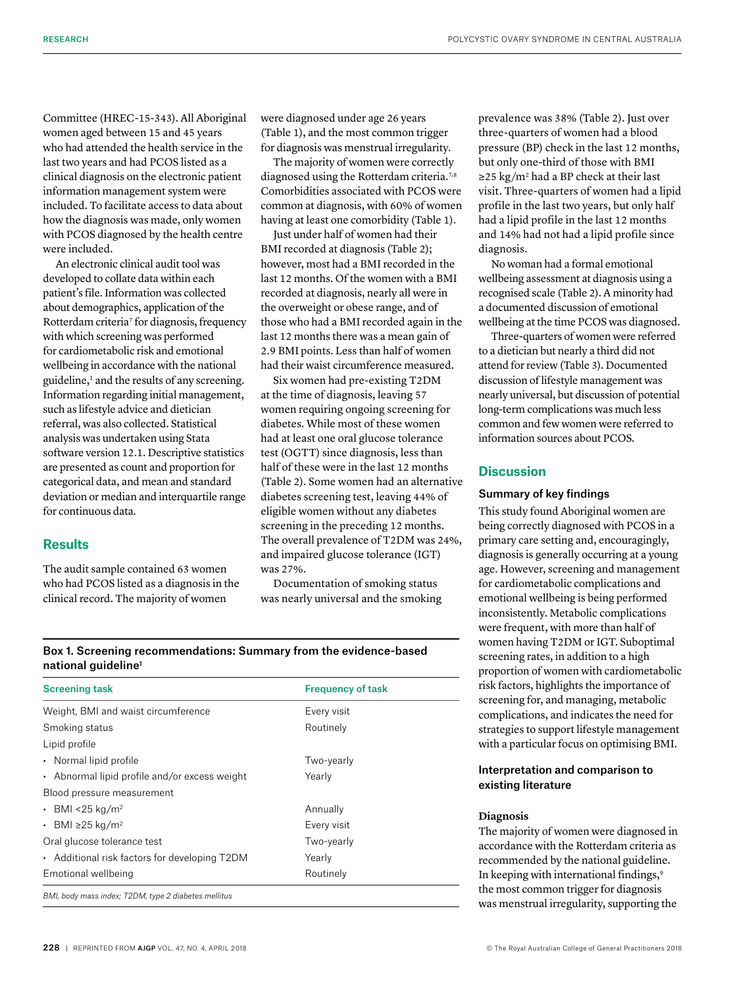Committee (HREC-15-343). All Aboriginal women aged between 15 and 45 years who had attended the health service in the last two years and had PCOS listed as a clinical diagnosis on the electronic patient information management system were included. To facilitate access to data about how the diagnosis was made, only women with PCOS diagnosed by the health centre were included.

An electronic clinical audit tool was developed to collate data within each patient's file. Information was collected about demographics, application of the Rotterdam criteria<sup>7</sup> for diagnosis, frequency with which screening was performed for cardiometabolic risk and emotional wellbeing in accordance with the national guideline,<sup>1</sup> and the results of any screening. Information regarding initial management, such as lifestyle advice and dietician referral, was also collected. Statistical analysis was undertaken using Stata software version 12.1. Descriptive statistics are presented as count and proportion for categorical data, and mean and standard deviation or median and interquartile range for continuous data*.*

# **Results**

The audit sample contained 63 women who had PCOS listed as a diagnosis in the clinical record. The majority of women

were diagnosed under age 26 years (Table 1), and the most common trigger for diagnosis was menstrual irregularity.

The majority of women were correctly diagnosed using the Rotterdam criteria.<sup>7,8</sup> Comorbidities associated with PCOS were common at diagnosis, with 60% of women having at least one comorbidity (Table 1).

Just under half of women had their BMI recorded at diagnosis (Table 2); however, most had a BMI recorded in the last 12 months. Of the women with a BMI recorded at diagnosis, nearly all were in the overweight or obese range, and of those who had a BMI recorded again in the last 12 months there was a mean gain of 2.9 BMI points. Less than half of women had their waist circumference measured.

Six women had pre-existing T2DM at the time of diagnosis, leaving 57 women requiring ongoing screening for diabetes. While most of these women had at least one oral glucose tolerance test (OGTT) since diagnosis, less than half of these were in the last 12 months (Table 2). Some women had an alternative diabetes screening test, leaving 44% of eligible women without any diabetes screening in the preceding 12 months. The overall prevalence of T2DM was 24%, and impaired glucose tolerance (IGT) was 27%.

Documentation of smoking status was nearly universal and the smoking prevalence was 38% (Table 2). Just over three-quarters of women had a blood pressure (BP) check in the last 12 months, but only one-third of those with BMI  $\geq$ 25 kg/m<sup>2</sup> had a BP check at their last visit. Three-quarters of women had a lipid profile in the last two years, but only half had a lipid profile in the last 12 months and 14% had not had a lipid profile since diagnosis.

No woman had a formal emotional wellbeing assessment at diagnosis using a recognised scale (Table 2). A minority had a documented discussion of emotional wellbeing at the time PCOS was diagnosed.

Three-quarters of women were referred to a dietician but nearly a third did not attend for review (Table 3). Documented discussion of lifestyle management was nearly universal, but discussion of potential long-term complications was much less common and few women were referred to information sources about PCOS.

# **Discussion**

# Summary of key findings

This study found Aboriginal women are being correctly diagnosed with PCOS in a primary care setting and, encouragingly, diagnosis is generally occurring at a young age. However, screening and management for cardiometabolic complications and emotional wellbeing is being performed inconsistently. Metabolic complications were frequent, with more than half of women having T2DM or IGT. Suboptimal screening rates, in addition to a high proportion of women with cardiometabolic risk factors, highlights the importance of screening for, and managing, metabolic complications, and indicates the need for strategies to support lifestyle management with a particular focus on optimising BMI.

## Interpretation and comparison to existing literature

#### **Diagnosis**

The majority of women were diagnosed in accordance with the Rotterdam criteria as recommended by the national guideline. In keeping with international findings,9 the most common trigger for diagnosis was menstrual irregularity, supporting the

Box 1. Screening recommendations: Summary from the evidence-based national guideline<sup>1</sup>

| <b>Screening task</b>                         | <b>Frequency of task</b> |  |
|-----------------------------------------------|--------------------------|--|
| Weight, BMI and waist circumference           | Every visit              |  |
| Smoking status                                | Routinely                |  |
| Lipid profile                                 |                          |  |
| • Normal lipid profile                        | Two-yearly               |  |
| • Abnormal lipid profile and/or excess weight | Yearly                   |  |
| Blood pressure measurement                    |                          |  |
| • BMI <25 kg/m <sup>2</sup>                   | Annually                 |  |
| • BMI ≥25 kg/m <sup>2</sup>                   | Every visit              |  |
| Oral glucose tolerance test                   | Two-yearly               |  |
| • Additional risk factors for developing T2DM | Yearly                   |  |
| Emotional wellbeing                           | Routinely                |  |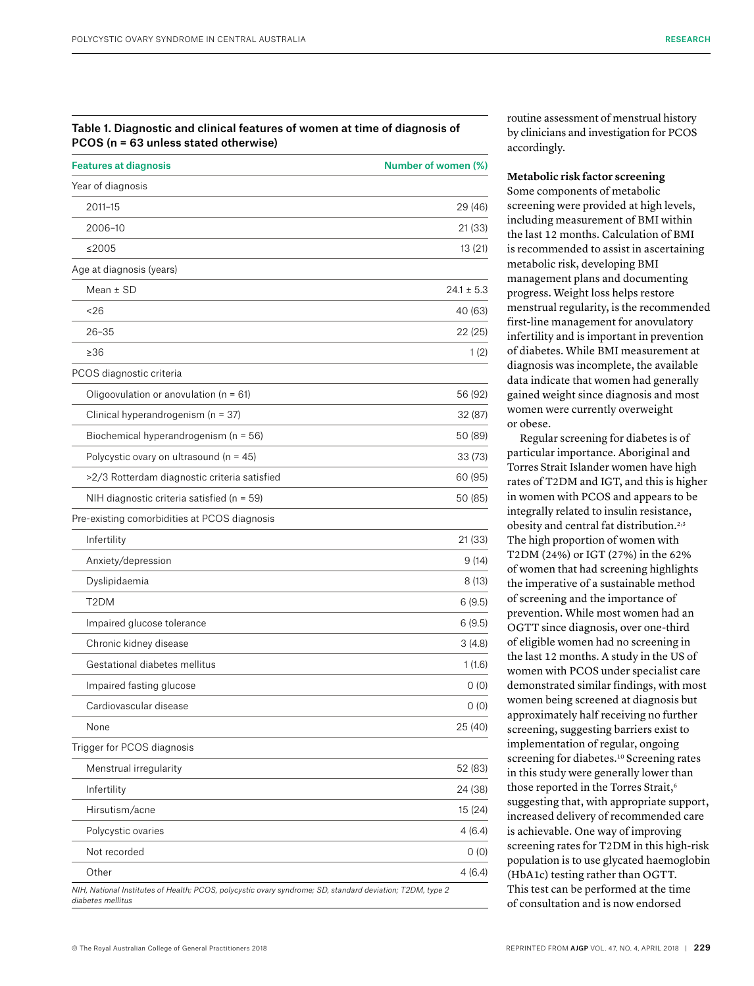### Table 1. Diagnostic and clinical features of women at time of diagnosis of PCOS (n = 63 unless stated otherwise)

| <b>Features at diagnosis</b>                 | Number of women (%) |
|----------------------------------------------|---------------------|
| Year of diagnosis                            |                     |
| 2011-15                                      | 29 (46)             |
| 2006-10                                      | 21 (33)             |
| ≤2005                                        | 13(21)              |
| Age at diagnosis (years)                     |                     |
| Mean $±$ SD                                  | $24.1 \pm 5.3$      |
| ~526                                         | 40 (63)             |
| $26 - 35$                                    | 22 (25)             |
| $\geq 36$                                    | 1(2)                |
| PCOS diagnostic criteria                     |                     |
| Oligoovulation or anovulation ( $n = 61$ )   | 56 (92)             |
| Clinical hyperandrogenism (n = 37)           | 32 (87)             |
| Biochemical hyperandrogenism (n = 56)        | 50 (89)             |
| Polycystic ovary on ultrasound ( $n = 45$ )  | 33(73)              |
| >2/3 Rotterdam diagnostic criteria satisfied | 60 (95)             |
| NIH diagnostic criteria satisfied (n = 59)   | 50 (85)             |
| Pre-existing comorbidities at PCOS diagnosis |                     |
| Infertility                                  | 21 (33)             |
| Anxiety/depression                           | 9(14)               |
| Dyslipidaemia                                | 8(13)               |
| T <sub>2</sub> DM                            | 6(9.5)              |
| Impaired glucose tolerance                   | 6(9.5)              |
| Chronic kidney disease                       | 3(4.8)              |
| Gestational diabetes mellitus                | 1(1.6)              |
| Impaired fasting glucose                     | 0(0)                |
| Cardiovascular disease                       | 0(0)                |
| None                                         | 25 (40)             |
| Trigger for PCOS diagnosis                   |                     |
| Menstrual irregularity                       | 52 (83)             |
| Infertility                                  | 24 (38)             |
| Hirsutism/acne                               | 15 (24)             |
| Polycystic ovaries                           | 4 (6.4)             |
| Not recorded                                 | (0)                 |
| Other                                        | 4 (6.4)             |

routine assessment of menstrual history by clinicians and investigation for PCOS accordingly.

#### **Metabolic risk factor screening**

Some components of metabolic screening were provided at high levels, including measurement of BMI within the last 12 months. Calculation of BMI is recommended to assist in ascertaining metabolic risk, developing BMI management plans and documenting progress. Weight loss helps restore menstrual regularity, is the recommended first-line management for anovulatory infertility and is important in prevention of diabetes. While BMI measurement at diagnosis was incomplete, the available data indicate that women had generally gained weight since diagnosis and most women were currently overweight or obese.

Regular screening for diabetes is of particular importance. Aboriginal and Torres Strait Islander women have high rates of T2DM and IGT, and this is higher in women with PCOS and appears to be integrally related to insulin resistance, obesity and central fat distribution.2,3 The high proportion of women with T2DM (24%) or IGT (27%) in the 62% of women that had screening highlights the imperative of a sustainable method of screening and the importance of prevention. While most women had an OGTT since diagnosis, over one-third of eligible women had no screening in the last 12 months. A study in the US of women with PCOS under specialist care demonstrated similar findings, with most women being screened at diagnosis but approximately half receiving no further screening, suggesting barriers exist to implementation of regular, ongoing screening for diabetes.<sup>10</sup> Screening rates in this study were generally lower than those reported in the Torres Strait,<sup>6</sup> suggesting that, with appropriate support, increased delivery of recommended care is achievable. One way of improving screening rates for T2DM in this high-risk population is to use glycated haemoglobin (HbA1c) testing rather than OGTT. This test can be performed at the time of consultation and is now endorsed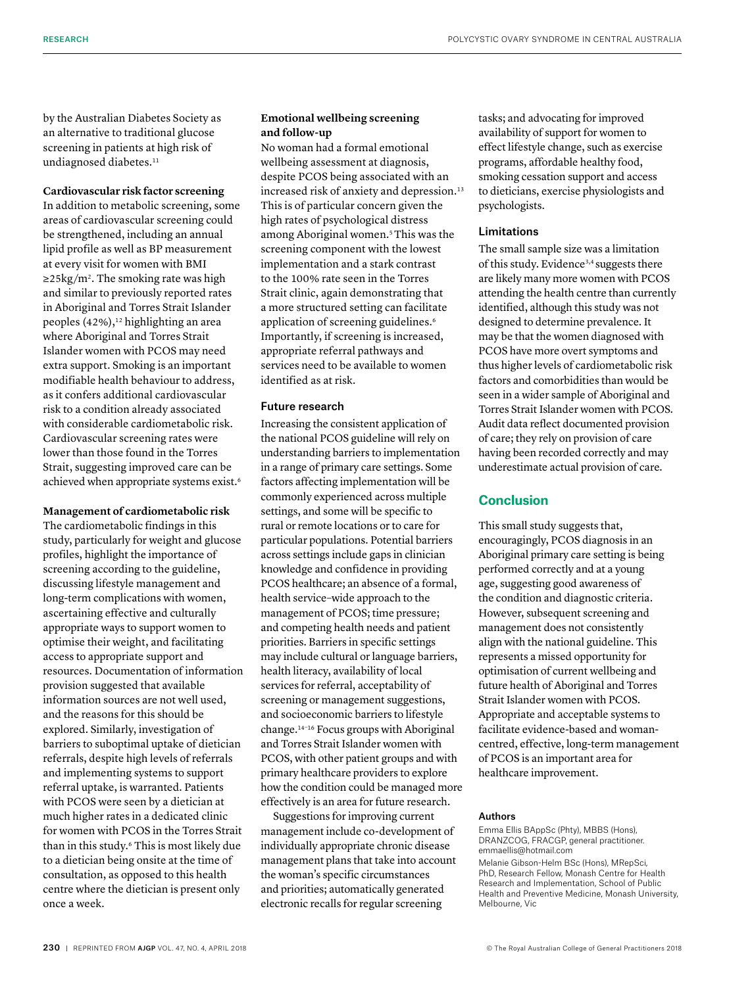by the Australian Diabetes Society as an alternative to traditional glucose screening in patients at high risk of undiagnosed diabetes.<sup>11</sup>

# **Cardiovascular risk factor screening**

In addition to metabolic screening, some areas of cardiovascular screening could be strengthened, including an annual lipid profile as well as BP measurement at every visit for women with BMI  $\geq$ 25kg/m<sup>2</sup>. The smoking rate was high and similar to previously reported rates in Aboriginal and Torres Strait Islander peoples  $(42\%)$ ,<sup>12</sup> highlighting an area where Aboriginal and Torres Strait Islander women with PCOS may need extra support. Smoking is an important modifiable health behaviour to address, as it confers additional cardiovascular risk to a condition already associated with considerable cardiometabolic risk. Cardiovascular screening rates were lower than those found in the Torres Strait, suggesting improved care can be achieved when appropriate systems exist.6

# **Management of cardiometabolic risk**

The cardiometabolic findings in this study, particularly for weight and glucose profiles, highlight the importance of screening according to the guideline, discussing lifestyle management and long-term complications with women, ascertaining effective and culturally appropriate ways to support women to optimise their weight, and facilitating access to appropriate support and resources. Documentation of information provision suggested that available information sources are not well used, and the reasons for this should be explored. Similarly, investigation of barriers to suboptimal uptake of dietician referrals, despite high levels of referrals and implementing systems to support referral uptake, is warranted. Patients with PCOS were seen by a dietician at much higher rates in a dedicated clinic for women with PCOS in the Torres Strait than in this study.6 This is most likely due to a dietician being onsite at the time of consultation, as opposed to this health centre where the dietician is present only once a week.

# **Emotional wellbeing screening and follow-up**

No woman had a formal emotional wellbeing assessment at diagnosis, despite PCOS being associated with an increased risk of anxiety and depression.<sup>13</sup> This is of particular concern given the high rates of psychological distress among Aboriginal women.5This was the screening component with the lowest implementation and a stark contrast to the 100% rate seen in the Torres Strait clinic, again demonstrating that a more structured setting can facilitate application of screening guidelines.<sup>6</sup> Importantly, if screening is increased, appropriate referral pathways and services need to be available to women identified as at risk.

#### Future research

Increasing the consistent application of the national PCOS guideline will rely on understanding barriers to implementation in a range of primary care settings. Some factors affecting implementation will be commonly experienced across multiple settings, and some will be specific to rural or remote locations or to care for particular populations. Potential barriers across settings include gaps in clinician knowledge and confidence in providing PCOS healthcare; an absence of a formal, health service–wide approach to the management of PCOS; time pressure; and competing health needs and patient priorities. Barriers in specific settings may include cultural or language barriers, health literacy, availability of local services for referral, acceptability of screening or management suggestions, and socioeconomic barriers to lifestyle change.14–16 Focus groups with Aboriginal and Torres Strait Islander women with PCOS, with other patient groups and with primary healthcare providers to explore how the condition could be managed more effectively is an area for future research.

Suggestions for improving current management include co-development of individually appropriate chronic disease management plans that take into account the woman's specific circumstances and priorities; automatically generated electronic recalls for regular screening

tasks; and advocating for improved availability of support for women to effect lifestyle change, such as exercise programs, affordable healthy food, smoking cessation support and access to dieticians, exercise physiologists and psychologists.

## Limitations

The small sample size was a limitation of this study. Evidence<sup>3,4</sup> suggests there are likely many more women with PCOS attending the health centre than currently identified, although this study was not designed to determine prevalence. It may be that the women diagnosed with PCOS have more overt symptoms and thus higher levels of cardiometabolic risk factors and comorbidities than would be seen in a wider sample of Aboriginal and Torres Strait Islander women with PCOS. Audit data reflect documented provision of care; they rely on provision of care having been recorded correctly and may underestimate actual provision of care.

# **Conclusion**

This small study suggests that, encouragingly, PCOS diagnosis in an Aboriginal primary care setting is being performed correctly and at a young age, suggesting good awareness of the condition and diagnostic criteria. However, subsequent screening and management does not consistently align with the national guideline. This represents a missed opportunity for optimisation of current wellbeing and future health of Aboriginal and Torres Strait Islander women with PCOS. Appropriate and acceptable systems to facilitate evidence-based and womancentred, effective, long-term management of PCOS is an important area for healthcare improvement.

#### Authors

Emma Ellis BAppSc (Phty), MBBS (Hons), DRANZCOG, FRACGP, general practitioner. [emmaellis@hotmail.com](mailto:emmaellis@hotmail.com)

Melanie Gibson-Helm BSc (Hons), MRepSci, PhD, Research Fellow, Monash Centre for Health Research and Implementation, School of Public Health and Preventive Medicine, Monash University, Melbourne, Vic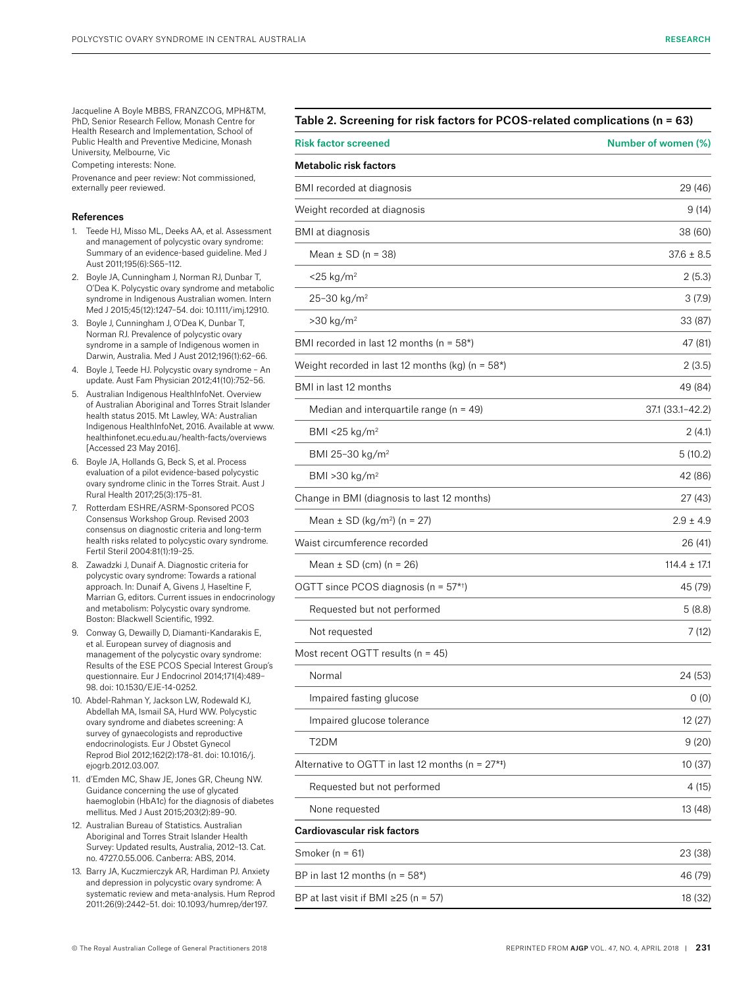Jacqueline A Boyle MBBS, FRANZCOG, MPH&TM, PhD, Senior Research Fellow, Monash Centre for Health Research and Implementation, School of Public Health and Preventive Medicine, Monash University, Melbourne, Vic

Competing interests: None.

Provenance and peer review: Not commissioned, externally peer reviewed.

#### References

- 1. Teede HJ, Misso ML, Deeks AA, et al. Assessment and management of polycystic ovary syndrome: Summary of an evidence-based guideline. Med J Aust 2011;195(6):S65–112.
- 2. Boyle JA, Cunningham J, Norman RJ, Dunbar T, O'Dea K. Polycystic ovary syndrome and metabolic syndrome in Indigenous Australian women. Intern Med J 2015;45(12):1247–54. doi: 10.1111/imj.12910.
- 3. Boyle J, Cunningham J, O'Dea K, Dunbar T, Norman RJ. Prevalence of polycystic ovary syndrome in a sample of Indigenous women in Darwin, Australia. Med J Aust 2012;196(1):62–66.
- 4. Boyle J, Teede HJ. Polycystic ovary syndrome An update. Aust Fam Physician 2012;41(10):752–56.
- 5. Australian Indigenous HealthInfoNet. Overview of Australian Aboriginal and Torres Strait Islander health status 2015. Mt Lawley, WA: Australian Indigenous HealthInfoNet, 2016. Available at [www.](http://www.healthinfonet.ecu.edu.au/health-facts/overviews) [healthinfonet.ecu.edu.au/health-facts/overviews](http://www.healthinfonet.ecu.edu.au/health-facts/overviews)  [Accessed 23 May 2016].
- 6. Boyle JA, Hollands G, Beck S, et al. Process evaluation of a pilot evidence-based polycystic ovary syndrome clinic in the Torres Strait. Aust J Rural Health 2017;25(3):175–81.
- 7. Rotterdam ESHRE/ASRM-Sponsored PCOS Consensus Workshop Group. Revised 2003 consensus on diagnostic criteria and long-term health risks related to polycystic ovary syndrome. Fertil Steril 2004:81(1):19–25.
- 8. Zawadzki J, Dunaif A. Diagnostic criteria for polycystic ovary syndrome: Towards a rational approach. In: Dunaif A, Givens J, Haseltine F, Marrian G, editors. Current issues in endocrinology and metabolism: Polycystic ovary syndrome. Boston: Blackwell Scientific, 1992.
- 9. Conway G, Dewailly D, Diamanti-Kandarakis E, et al. European survey of diagnosis and management of the polycystic ovary syndrome: Results of the ESE PCOS Special Interest Group's questionnaire. Eur J Endocrinol 2014;171(4):489– 98. doi: 10.1530/EJE-14-0252.
- 10. Abdel-Rahman Y, Jackson LW, Rodewald KJ, Abdellah MA, Ismail SA, Hurd WW. Polycystic ovary syndrome and diabetes screening: A survey of gynaecologists and reproductive endocrinologists. Eur J Obstet Gynecol Reprod Biol 2012;162(2):178–81. doi: 10.1016/j. ejogrb.2012.03.007.
- 11. d'Emden MC, Shaw JE, Jones GR, Cheung NW. Guidance concerning the use of glycated haemoglobin (HbA1c) for the diagnosis of diabetes mellitus. Med J Aust 2015;203(2):89–90.
- 12. Australian Bureau of Statistics. Australian Aboriginal and Torres Strait Islander Health Survey: Updated results, Australia, 2012–13. Cat. no. 4727.0.55.006. Canberra: ABS, 2014.
- 13. Barry JA, Kuczmierczyk AR, Hardiman PJ. Anxiety and depression in polycystic ovary syndrome: A systematic review and meta-analysis. Hum Reprod 2011:26(9):2442–51. doi: 10.1093/humrep/der197.

| <b>Risk factor screened</b>                          | Number of women (%) |
|------------------------------------------------------|---------------------|
| <b>Metabolic risk factors</b>                        |                     |
| BMI recorded at diagnosis                            | 29 (46)             |
| Weight recorded at diagnosis                         | 9(14)               |
| <b>BMI</b> at diagnosis                              | 38 (60)             |
| Mean $\pm$ SD (n = 38)                               | $37.6 \pm 8.5$      |
| $<$ 25 kg/m <sup>2</sup>                             | 2(5.3)              |
| 25-30 kg/m <sup>2</sup>                              | 3(7.9)              |
| $>30$ kg/m <sup>2</sup>                              | 33 (87)             |
| BMI recorded in last 12 months (n = 58*)             | 47 (81)             |
| Weight recorded in last 12 months (kg) ( $n = 58$ *) | 2(3.5)              |
| BMI in last 12 months                                | 49 (84)             |
| Median and interquartile range ( $n = 49$ )          | 37.1 (33.1-42.2)    |
| BMI <25 kg/m <sup>2</sup>                            | 2(4.1)              |
| BMI 25-30 kg/m <sup>2</sup>                          | 5(10.2)             |
| BMI > 30 kg/m <sup>2</sup>                           | 42 (86)             |
| Change in BMI (diagnosis to last 12 months)          | 27 (43)             |
| Mean $\pm$ SD (kg/m <sup>2</sup> ) (n = 27)          | $2.9 \pm 4.9$       |
| Waist circumference recorded                         | 26 (41)             |
| Mean $\pm$ SD (cm) (n = 26)                          | $114.4 \pm 17.1$    |
| OGTT since PCOS diagnosis ( $n = 57$ <sup>*†</sup> ) | 45 (79)             |
| Requested but not performed                          | 5(8.8)              |
| Not requested                                        | 7(12)               |
| Most recent OGTT results (n = 45)                    |                     |
| Normal                                               | 24 (53)             |
| Impaired fasting glucose                             | 0(0)                |
| Impaired glucose tolerance                           | 12 (27)             |
| T <sub>2</sub> DM                                    | 9(20)               |
| Alternative to OGTT in last 12 months ( $n = 27**$ ) | 10 (37)             |
| Requested but not performed                          | 4(15)               |
| None requested                                       | 13 (48)             |
| Cardiovascular risk factors                          |                     |
| Smoker ( $n = 61$ )                                  | 23 (38)             |
| BP in last 12 months ( $n = 58$ *)                   | 46 (79)             |
| BP at last visit if BMI $\geq$ 25 (n = 57)           | 18 (32)             |